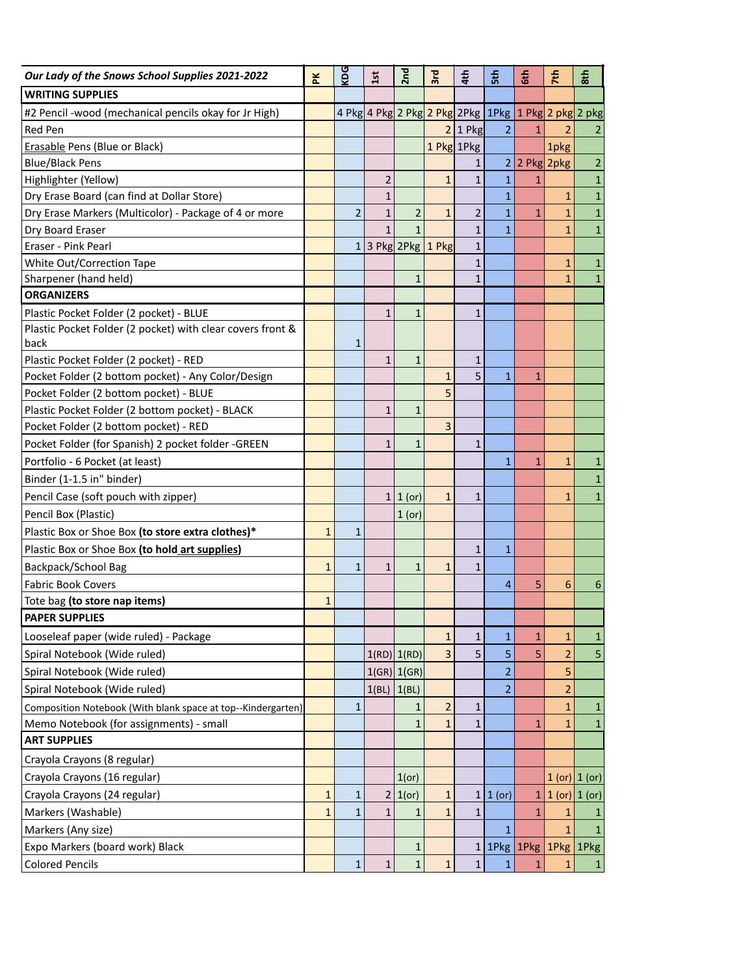| Our Lady of the Snows School Supplies 2021-2022              | řΚ           | <b>OG</b>      | 15t                               | 2 <sub>nd</sub> | 3rd                     | 4th            | $\frac{2}{5}$  | 6th          | 7th                 | 8th               |
|--------------------------------------------------------------|--------------|----------------|-----------------------------------|-----------------|-------------------------|----------------|----------------|--------------|---------------------|-------------------|
| <b>WRITING SUPPLIES</b>                                      |              |                |                                   |                 |                         |                |                |              |                     |                   |
| #2 Pencil -wood (mechanical pencils okay for Jr High)        |              |                | 4 Pkg 4 Pkg 2 Pkg 2 Pkg 2Pkg 1Pkg |                 |                         |                |                |              |                     | 1 Pkg 2 pkg 2 pkg |
| <b>Red Pen</b>                                               |              |                |                                   |                 |                         | $2 1$ Pkg      | $\overline{2}$ | $\mathbf{1}$ | $\overline{2}$      | 2                 |
| Erasable Pens (Blue or Black)                                |              |                |                                   |                 | 1 Pkg 1Pkg              |                |                |              | 1pkg                |                   |
| <b>Blue/Black Pens</b>                                       |              |                |                                   |                 |                         | $\mathbf{1}$   | $\overline{2}$ | 2 Pkg 2pkg   |                     | $\overline{2}$    |
| Highlighter (Yellow)                                         |              |                | $\overline{2}$                    |                 | $\mathbf{1}$            | $\mathbf{1}$   | $\mathbf 1$    | 1            |                     | $\mathbf{1}$      |
| Dry Erase Board (can find at Dollar Store)                   |              |                | $\mathbf{1}$                      |                 |                         |                | $\mathbf{1}$   |              | $\mathbf{1}$        | $\mathbf 1$       |
| Dry Erase Markers (Multicolor) - Package of 4 or more        |              | $\overline{2}$ | $\mathbf{1}$                      | $\overline{2}$  | $\mathbf{1}$            | $\overline{2}$ | $\mathbf 1$    | $\mathbf{1}$ | $\mathbf{1}$        | $\mathbf 1$       |
| Dry Board Eraser                                             |              |                | 1                                 | $\mathbf{1}$    |                         | $\mathbf{1}$   | $\overline{1}$ |              | $\mathbf{1}$        | $\mathbf 1$       |
| Eraser - Pink Pearl                                          |              |                | 1 3 Pkg 2Pkg $1$ Pkg              |                 |                         | $\mathbf{1}$   |                |              |                     |                   |
| White Out/Correction Tape                                    |              |                |                                   |                 |                         | $\mathbf{1}$   |                |              | $\mathbf{1}$        | $\mathbf{1}$      |
| Sharpener (hand held)                                        |              |                |                                   | $\mathbf{1}$    |                         | $\mathbf{1}$   |                |              | $\mathbf{1}$        | $\mathbf{1}$      |
| <b>ORGANIZERS</b>                                            |              |                |                                   |                 |                         |                |                |              |                     |                   |
| Plastic Pocket Folder (2 pocket) - BLUE                      |              |                | 1                                 | $\mathbf{1}$    |                         | $\mathbf{1}$   |                |              |                     |                   |
| Plastic Pocket Folder (2 pocket) with clear covers front &   |              |                |                                   |                 |                         |                |                |              |                     |                   |
| back                                                         |              | $\mathbf{1}$   |                                   |                 |                         |                |                |              |                     |                   |
| Plastic Pocket Folder (2 pocket) - RED                       |              |                | $\mathbf{1}$                      | $\mathbf{1}$    |                         | $\mathbf{1}$   |                |              |                     |                   |
| Pocket Folder (2 bottom pocket) - Any Color/Design           |              |                |                                   |                 | $\mathbf{1}$            | 5              | $\overline{1}$ | $\mathbf{1}$ |                     |                   |
| Pocket Folder (2 bottom pocket) - BLUE                       |              |                |                                   |                 | 5                       |                |                |              |                     |                   |
| Plastic Pocket Folder (2 bottom pocket) - BLACK              |              |                | $\mathbf{1}$                      | $\mathbf{1}$    |                         |                |                |              |                     |                   |
| Pocket Folder (2 bottom pocket) - RED                        |              |                |                                   |                 | 3                       |                |                |              |                     |                   |
| Pocket Folder (for Spanish) 2 pocket folder -GREEN           |              |                | 1                                 | $\mathbf{1}$    |                         | $\mathbf{1}$   |                |              |                     |                   |
| Portfolio - 6 Pocket (at least)                              |              |                |                                   |                 |                         |                | $\mathbf{1}$   | $\mathbf{1}$ | $\mathbf{1}$        | $\mathbf{1}$      |
| Binder (1-1.5 in" binder)                                    |              |                |                                   |                 |                         |                |                |              |                     | $\mathbf{1}$      |
| Pencil Case (soft pouch with zipper)                         |              |                | 1                                 | 1 (or)          | $\mathbf{1}$            | $\mathbf{1}$   |                |              | 1                   | $\mathbf{1}$      |
| Pencil Box (Plastic)                                         |              |                |                                   | 1 (or)          |                         |                |                |              |                     |                   |
| Plastic Box or Shoe Box (to store extra clothes)*            | $\mathbf{1}$ | $\mathbf{1}$   |                                   |                 |                         |                |                |              |                     |                   |
| Plastic Box or Shoe Box (to hold art supplies)               |              |                |                                   |                 |                         | $\mathbf{1}$   | $\mathbf{1}$   |              |                     |                   |
| Backpack/School Bag                                          | $\mathbf{1}$ | $\mathbf{1}$   | $\mathbf{1}$                      | $\mathbf{1}$    | $\mathbf{1}$            | $\mathbf{1}$   |                |              |                     |                   |
| <b>Fabric Book Covers</b>                                    |              |                |                                   |                 |                         |                | 4              | 5            | 6                   | 6                 |
| Tote bag (to store nap items)                                | $\mathbf{1}$ |                |                                   |                 |                         |                |                |              |                     |                   |
| <b>PAPER SUPPLIES</b>                                        |              |                |                                   |                 |                         |                |                |              |                     |                   |
| Looseleaf paper (wide ruled) - Package                       |              |                |                                   |                 | $\mathbf{1}$            | $\mathbf 1$    | $\mathbf 1$    | $\mathbf{1}$ | $\mathbf{1}$        | $\mathbf{1}$      |
| Spiral Notebook (Wide ruled)                                 |              |                | 1(RD)                             | 1(RD)           | 3                       | 5              | 5              | 5            | $\overline{2}$      | 5                 |
| Spiral Notebook (Wide ruled)                                 |              |                |                                   | $1(GR)$ $1(GR)$ |                         |                | $\overline{2}$ |              | 5                   |                   |
| Spiral Notebook (Wide ruled)                                 |              |                | 1(BL)                             | 1(BL)           |                         |                | $\overline{2}$ |              | 2                   |                   |
| Composition Notebook (With blank space at top--Kindergarten) |              | $\mathbf{1}$   |                                   | 1               | $\overline{\mathbf{c}}$ | 1              |                |              | $\mathbf{1}$        | $\mathbf{1}$      |
| Memo Notebook (for assignments) - small                      |              |                |                                   | $\mathbf{1}$    | $\mathbf{1}$            | $\mathbf{1}$   |                | $\mathbf{1}$ | $\mathbf{1}$        | $\mathbf{1}$      |
| <b>ART SUPPLIES</b>                                          |              |                |                                   |                 |                         |                |                |              |                     |                   |
| Crayola Crayons (8 regular)                                  |              |                |                                   |                 |                         |                |                |              |                     |                   |
| Crayola Crayons (16 regular)                                 |              |                |                                   | 1 (or)          |                         |                |                |              |                     | 1 (or) 1 (or)     |
| Crayola Crayons (24 regular)                                 | $\mathbf{1}$ | $\mathbf{1}$   | 2                                 | $ 1($ or)       | $\mathbf{1}$            |                | $1 1$ (or)     |              | $1 1$ (or) $1$ (or) |                   |
| Markers (Washable)                                           | $\mathbf{1}$ | $\mathbf{1}$   | $\mathbf{1}$                      | $\mathbf{1}$    | $\mathbf{1}$            | $\mathbf{1}$   |                | 1            | $\mathbf{1}$        |                   |
| Markers (Any size)                                           |              |                |                                   |                 |                         |                | $\mathbf{1}$   |              | $\mathbf{1}$        | $\mathbf{1}$      |
| Expo Markers (board work) Black                              |              |                |                                   | $\mathbf{1}$    |                         | $\mathbf{1}$   | 1Pkg           | 1Pkg         | 1Pkg 1Pkg           |                   |
| <b>Colored Pencils</b>                                       |              | $\mathbf 1$    | $\mathbf{1}$                      | $\mathbf{1}$    | $\mathbf 1$             | $\mathbf{1}$   | $\mathbf{1}$   | $\mathbf{1}$ |                     |                   |
|                                                              |              |                |                                   |                 |                         |                |                |              | 1                   | $\mathbf{1}$      |